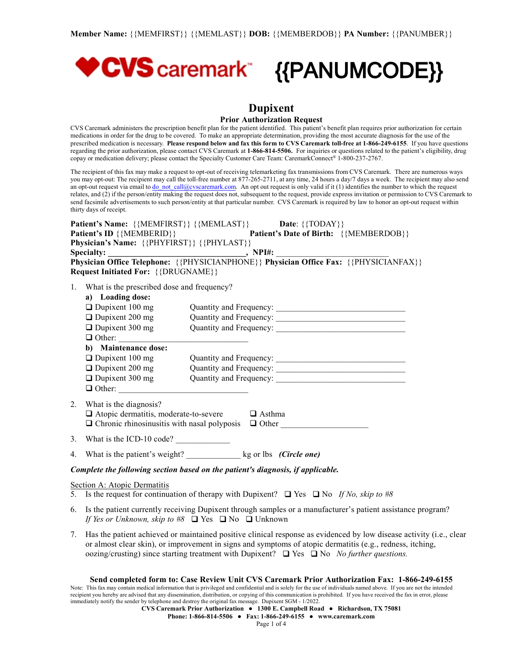

# **Dupixent**

### **Prior Authorization Request**

CVS Caremark administers the prescription benefit plan for the patient identified. This patient's benefit plan requires prior authorization for certain medications in order for the drug to be covered. To make an appropriate determination, providing the most accurate diagnosis for the use of the prescribed medication is necessary. Please respond below and fax this form to CVS Caremark toll-free at 1-866-249-6155. If you have questions regarding the prior authorization, please contact CVS Caremark at **1-866-814-5506.** For inquiries or questions related to the patient's eligibility, drug copay or medication delivery; please contact the Specialty Customer Care Team: CaremarkConnect® 1-800-237-2767.

The recipient of this fax may make a request to opt-out of receiving telemarketing fax transmissions from CVS Caremark. There are numerous ways you may opt-out: The recipient may call the toll-free number at 877-265-2711, at any time, 24 hours a day/7 days a week. The recipient may also send an opt-out request via email to [do\\_not\\_call@cvscaremark.com](mailto:do_not_call@cvscaremark.com). An opt out request is only valid if it (1) identifies the number to which the request relates, and (2) if the person/entity making the request does not, subsequent to the request, provide express invitation or permission to CVS Caremark to send facsimile advertisements to such person/entity at that particular number. CVS Caremark is required by law to honor an opt-out request within thirty days of receipt.

| <b>Patient's Name:</b> {{MEMFIRST}} {{MEMLAST}}                                                        | <b>Date:</b> $\{ \{ \text{TOPAY} \} \}$       |  |
|--------------------------------------------------------------------------------------------------------|-----------------------------------------------|--|
| Patient's ID {{MEMBERID}}                                                                              | <b>Patient's Date of Birth:</b> {{MEMBERDOB}} |  |
| Physician's Name: {{PHYFIRST}} {{PHYLAST}}                                                             |                                               |  |
| <b>Specialty:</b><br><u> 1990 - Johann John Stein, markin samti som blev startet og en større og s</u> | $.$ NPI#:                                     |  |
| Physician Office Telephone: {{PHYSICIANPHONE}} Physician Office Fax: {{PHYSICIANFAX}}                  |                                               |  |
| <b>Request Initiated For:</b> {{DRUGNAME}}                                                             |                                               |  |

1. What is the prescribed dose and frequency?

|    | a) Loading dose:                             |                         |
|----|----------------------------------------------|-------------------------|
|    | $\Box$ Dupixent 100 mg                       | Quantity and Frequency: |
|    | $\Box$ Dupixent 200 mg                       | Quantity and Frequency: |
|    | $\Box$ Dupixent 300 mg                       | Quantity and Frequency: |
|    | $\Box$ Other:                                |                         |
|    | b) Maintenance dose:                         |                         |
|    | $\Box$ Dupixent 100 mg                       | Quantity and Frequency: |
|    | $\Box$ Dupixent 200 mg                       | Quantity and Frequency: |
|    | $\Box$ Dupixent 300 mg                       | Quantity and Frequency: |
|    | $\Box$ Other:                                |                         |
|    |                                              |                         |
| 2. | What is the diagnosis?                       |                         |
|    | $\Box$ Atopic dermatitis, moderate-to-severe | Asthma                  |

| $\Box$ Chronic rhinosinusitis with nasal polyposis $\Box$ Other |  |
|-----------------------------------------------------------------|--|
|-----------------------------------------------------------------|--|

- 3. What is the ICD-10 code?
- 4. What is the patient's weight? \_\_\_\_\_\_\_\_\_\_\_\_\_ kg or lbs *(Circle one)*

# *Complete the following section based on the patient's diagnosis, if applicable.*

#### Section A: Atopic Dermatitis

- 5. Is the request for continuation of therapy with Dupixent?  $\Box$  Yes  $\Box$  No *If No, skip to* #8
- 6. Is the patient currently receiving Dupixent through samples or a manufacturer's patient assistance program? *If Yes or Unknown, skip to*  $#8$   $\Box$  Yes  $\Box$  No  $\Box$  Unknown
- 7. Has the patient achieved or maintained positive clinical response as evidenced by low disease activity (i.e., clear or almost clear skin), or improvement in signs and symptoms of atopic dermatitis (e.g., redness, itching, oozing/crusting) since starting treatment with Dupixent?  $\Box$  Yes  $\Box$  No *No further questions.*

# **Send completed form to: Case Review Unit CVS Caremark Prior Authorization Fax: 1-866-249-6155**

Note: This fax may contain medical information that is privileged and confidential and is solely for the use of individuals named above. If you are not the intended recipient you hereby are advised that any dissemination, distribution, or copying of this communication is prohibited. If you have received the fax in error, please immediately notify the sender by telephone and destroy the original fax message. Dupixent SGM - 1/2022.

**CVS Caremark Prior Authorization ● 1300 E. Campbell Road ● Richardson, TX 75081**

**Phone: 1-866-814-5506 ● Fax: 1-866-249-6155 ● www.caremark.com**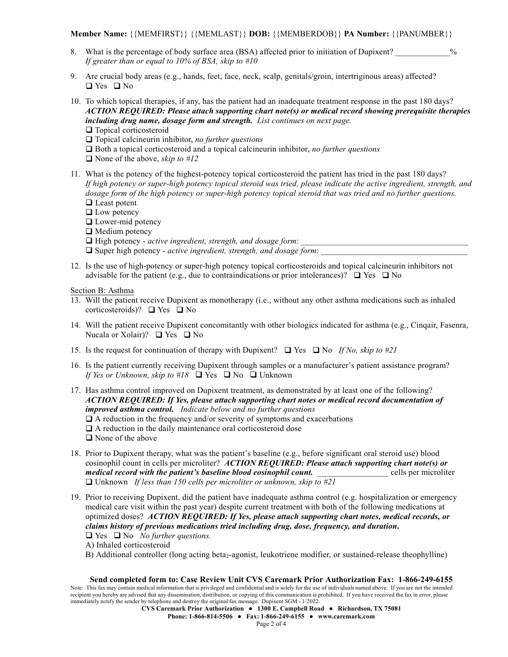**Member Name:** {{MEMFIRST}} {{MEMLAST}} **DOB:** {{MEMBERDOB}} **PA Number:** {{PANUMBER}}

- 8. What is the percentage of body surface area (BSA) affected prior to initiation of Dupixent? *If greater than or equal to 10% of BSA, skip to #10*
- 9. Are crucial body areas (e.g., hands, feet, face, neck, scalp, genitals/groin, intertriginous areas) affected?  $\Box$  Yes  $\Box$  No
- 10. To which topical therapies, if any, has the patient had an inadequate treatment response in the past 180 days? *ACTION REQUIRED: Please attach supporting chart note(s) or medical record showing prerequisite therapies including drug name, dosage form and strength. List continues on next page.*  $\Box$  Topical corticosteroid
	- □ Topical calcineurin inhibitor, *no further questions*
	- $\Box$  Both a topical corticosteroid and a topical calcineurin inhibitor, *no* further *questions*
	- q None of the above, *skip to #12*
- 11. What is the potency of the highest-potency topical corticosteroid the patient has tried in the past 180 days? If high potency or super-high potency topical steroid was tried, please indicate the active ingredient, strength, and dosage form of the high potency or super-high potency topical steroid that was tried and no further questions.  $\Box$  Least potent
	- $\Box$  Low potency
	- $\Box$  Lower-mid potency
	- $\Box$  Medium potency
	- □ High potency *active ingredient, strength, and dosage form*:
	- □ Super high potency *active ingredient, strength, and dosage form*:
- 12. Is the use of high-potency or super-high potency topical corticosteroids and topical calcineurin inhibitors not advisable for the patient (e.g., due to contraindications or prior intolerances)?  $\Box$  Yes  $\Box$  No

Section B: Asthma

- 13. Will the patient receive Dupixent as monotherapy (i.e., without any other asthma medications such as inhaled corticosteroids)?  $\Box$  Yes  $\Box$  No
- 14. Will the patient receive Dupixent concomitantly with other biologics indicated for asthma (e.g., Cinqair, Fasenra, Nucala or Xolair)?  $\Box$  Yes  $\Box$  No
- 15. Is the request for continuation of therapy with Dupixent?  $\Box$  Yes  $\Box$  No *If No, skip to* #21
- 16. Is the patient currently receiving Dupixent through samples or a manufacturer's patient assistance program? *If Yes or Unknown, skip to*  $#18$   $\Box$  Yes  $\Box$  No  $\Box$  Unknown
- 17. Has asthma control improved on Dupixent treatment, as demonstrated by at least one of the following? *ACTION REQUIRED: If Yes, please attach supporting chart notes or medical record documentation of improved asthma control. Indicate below and no further questions*
	- $\Box$  A reduction in the frequency and/or severity of symptoms and exacerbations
	- $\Box$  A reduction in the daily maintenance oral corticosteroid dose
	- $\Box$  None of the above
- 18. Prior to Dupixent therapy, what was the patient's baseline (e.g., before significant oral steroid use) blood eosinophil count in cells per microliter? *ACTION REQUIRED: Please attach supporting chart note(s) or medical record with the patient's baseline blood eosinophil count. \_\_\_\_\_\_\_\_\_\_\_\_\_\_\_\_\_* cells per microliter q Unknown *If less than 150 cells per microliter or unknown, skip to #21*
- 19. Prior to receiving Dupixent, did the patient have inadequate asthma control (e.g. hospitalization or emergency medical care visit within the past year) despite current treatment with both of the following medications at optimized doses? *ACTION REQUIRED: If Yes, please attach supporting chart notes, medical records, or claims history of previous medications tried including drug, dose, frequency, and duration***.**
	- $\Box$  Yes  $\Box$  No *No further questions.*
	- A) Inhaled corticosteroid
	- B) Additional controller (long acting beta<sub>2</sub>-agonist, leukotriene modifier, or sustained-release theophylline)

## **Send completed form to: Case Review Unit CVS Caremark Prior Authorization Fax: 1-866-249-6155**

Note: This fax may contain medical information that is privileged and confidential and is solely for the use of individuals named above. If you are not the intended recipient you hereby are advised that any dissemination, distribution, or copying of this communication is prohibited. If you have received the fax in error, please immediately notify the sender by telephone and destroy the original fax message. Dupixent SGM - 1/2022.

**CVS Caremark Prior Authorization ● 1300 E. Campbell Road ● Richardson, TX 75081**

**Phone: 1-866-814-5506 ● Fax: 1-866-249-6155 ● www.caremark.com**

Page 2 of 4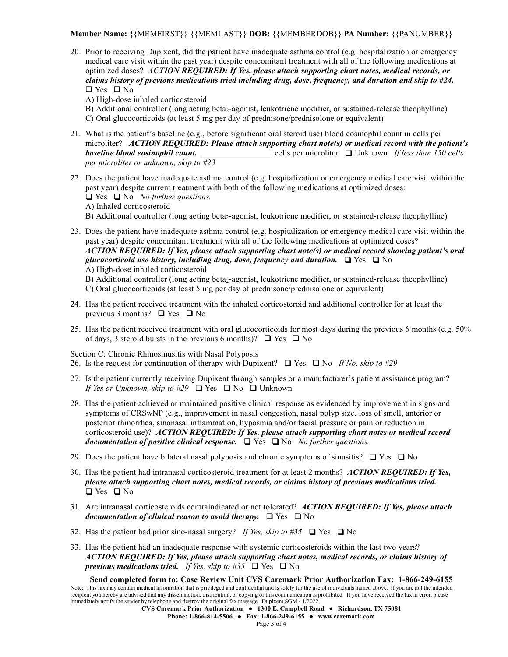**Member Name:** {{MEMFIRST}} {{MEMLAST}} **DOB:** {{MEMBERDOB}} **PA Number:** {{PANUMBER}}

- 20. Prior to receiving Dupixent, did the patient have inadequate asthma control (e.g. hospitalization or emergency medical care visit within the past year) despite concomitant treatment with all of the following medications at optimized doses? *ACTION REQUIRED: If Yes, please attach supporting chart notes, medical records, or claims history of previous medications tried including drug, dose, frequency, and duration and skip to #24.*  $\Box$  Yes  $\Box$  No
	- A) High-dose inhaled corticosteroid
	- B) Additional controller (long acting beta<sub>2</sub>-agonist, leukotriene modifier, or sustained-release theophylline) C) Oral glucocorticoids (at least 5 mg per day of prednisone/prednisolone or equivalent)
- 21. What is the patient's baseline (e.g., before significant oral steroid use) blood eosinophil count in cells per microliter? *ACTION REQUIRED: Please attach supporting chart note(s) or medical record with the patient's baseline blood eosinophil count.* \_\_\_\_\_\_\_\_\_\_\_\_\_\_\_\_\_ cells per microliter q Unknown *If less than 150 cells per microliter or unknown, skip to #23*
- 22. Does the patient have inadequate asthma control (e.g. hospitalization or emergency medical care visit within the past year) despite current treatment with both of the following medications at optimized doses: q Yes q No *No further questions.*
	- A) Inhaled corticosteroid
	- B) Additional controller (long acting beta<sub>2</sub>-agonist, leukotriene modifier, or sustained-release theophylline)
- 23. Does the patient have inadequate asthma control (e.g. hospitalization or emergency medical care visit within the past year) despite concomitant treatment with all of the following medications at optimized doses? *ACTION REQUIRED: If Yes, please attach supporting chart note(s) or medical record showing patient's oral glucocorticoid use history, including drug, dose, frequency and duration.*  $\Box$  Yes  $\Box$  No A) High-dose inhaled corticosteroid
	- B) Additional controller (long acting beta<sub>2</sub>-agonist, leukotriene modifier, or sustained-release theophylline)
	- C) Oral glucocorticoids (at least 5 mg per day of prednisone/prednisolone or equivalent)
- 24. Has the patient received treatment with the inhaled corticosteroid and additional controller for at least the previous 3 months?  $\Box$  Yes  $\Box$  No
- 25. Has the patient received treatment with oral glucocorticoids for most days during the previous 6 months (e.g. 50% of days, 3 steroid bursts in the previous 6 months)?  $\Box$  Yes  $\Box$  No

Section C: Chronic Rhinosinusitis with Nasal Polyposis

- 26. Is the request for continuation of therapy with Dupixent?  $\Box$  Yes  $\Box$  No *If No, skip to* #29
- 27. Is the patient currently receiving Dupixent through samples or a manufacturer's patient assistance program? *If Yes or Unknown, skip to*  $#29$   $\Box$  Yes  $\Box$  No  $\Box$  Unknown
- 28. Has the patient achieved or maintained positive clinical response as evidenced by improvement in signs and symptoms of CRSwNP (e.g., improvement in nasal congestion, nasal polyp size, loss of smell, anterior or posterior rhinorrhea, sinonasal inflammation, hyposmia and/or facial pressure or pain or reduction in corticosteroid use)? *ACTION REQUIRED: If Yes, please attach supporting chart notes or medical record documentation of positive clinical response.*  $\Box$  Yes  $\Box$  No *No further questions.*
- 29. Does the patient have bilateral nasal polyposis and chronic symptoms of sinusitis?  $\Box$  Yes  $\Box$  No
- 30. Has the patient had intranasal corticosteroid treatment for at least 2 months? *ACTION REQUIRED: If Yes, please attach supporting chart notes, medical records, or claims history of previous medications tried.*  $\Box$  Yes  $\Box$  No
- 31. Are intranasal corticosteroids contraindicated or not tolerated? *ACTION REQUIRED: If Yes, please attach documentation of clinical reason to avoid therapy.*  $\Box$  Yes  $\Box$  No
- 32. Has the patient had prior sino-nasal surgery? If Yes, skip to #35  $\Box$  Yes  $\Box$  No
- 33. Has the patient had an inadequate response with systemic corticosteroids within the last two years? *ACTION REQUIRED: If Yes, please attach supporting chart notes, medical records, or claims history of previous medications tried. If Yes, skip to*  $#35$   $\Box$  Yes  $\Box$  No

**Send completed form to: Case Review Unit CVS Caremark Prior Authorization Fax: 1-866-249-6155** Note: This fax may contain medical information that is privileged and confidential and is solely for the use of individuals named above. If you are not the intended recipient you hereby are advised that any dissemination, distribution, or copying of this communication is prohibited. If you have received the fax in error, please immediately notify the sender by telephone and destroy the original fax message. Dupixent SGM - 1/2022.

**CVS Caremark Prior Authorization ● 1300 E. Campbell Road ● Richardson, TX 75081 Phone: 1-866-814-5506 ● Fax: 1-866-249-6155 ● www.caremark.com**

Page 3 of 4